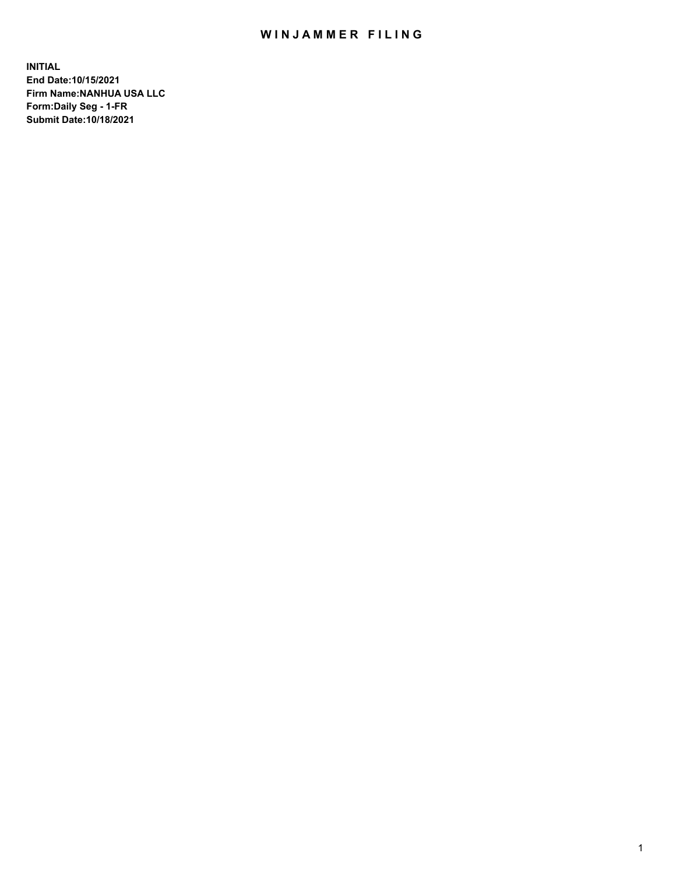# WIN JAMMER FILING

**INITIAL End Date:10/15/2021 Firm Name:NANHUA USA LLC Form:Daily Seg - 1-FR Submit Date:10/18/2021**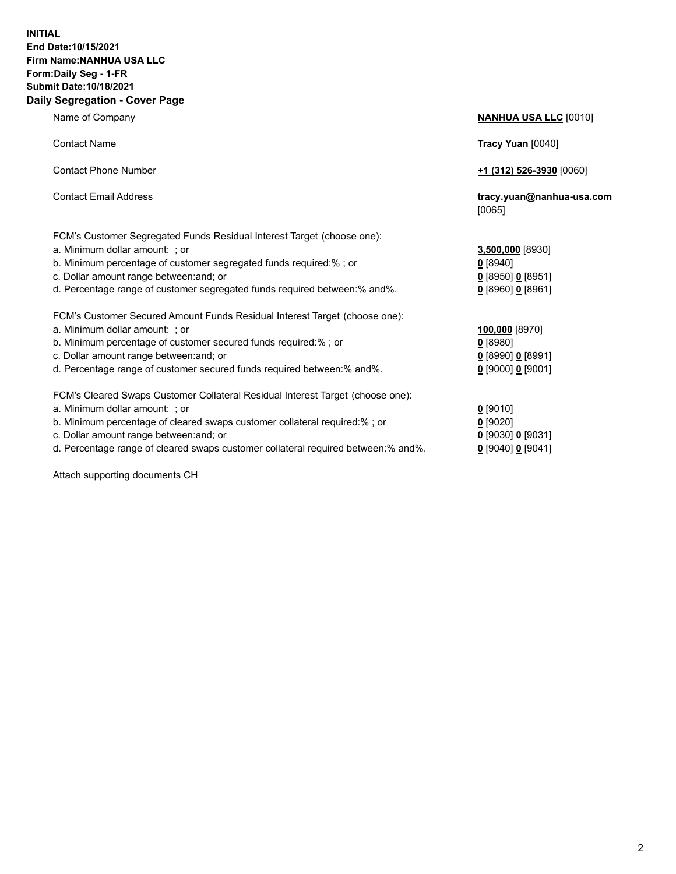### **INITIAL End Date:10/15/2021 Firm Name:NANHUA USA LLC Form:Daily Seg - 1-FR Submit Date:10/18/2021 Daily Segregation - Cover Page**

Name of Company **NANHUA USA LLC** [0010] Contact Name **Tracy Yuan** [0040] Contact Phone Number **+1 (312) 526-3930** [0060] Contact Email Address **tracy.yuan@nanhua-usa.com** [0065] FCM's Customer Segregated Funds Residual Interest Target (choose one): a. Minimum dollar amount: ; or **3,500,000** [8930] b. Minimum percentage of customer segregated funds required:% ; or **0** [8940] c. Dollar amount range between:and; or **0** [8950] **0** [8951] d. Percentage range of customer segregated funds required between:% and%. **0** [8960] **0** [8961] FCM's Customer Secured Amount Funds Residual Interest Target (choose one): a. Minimum dollar amount: ; or **100,000** [8970] b. Minimum percentage of customer secured funds required:% ; or **0** [8980] c. Dollar amount range between:and; or **0** [8990] **0** [8991] d. Percentage range of customer secured funds required between:% and%. **0** [9000] **0** [9001] FCM's Cleared Swaps Customer Collateral Residual Interest Target (choose one): a. Minimum dollar amount: ; or **0** [9010] b. Minimum percentage of cleared swaps customer collateral required:% ; or **0** [9020] c. Dollar amount range between:and; or **0** [9030] **0** [9031]

d. Percentage range of cleared swaps customer collateral required between:% and%. **0** [9040] **0** [9041]

Attach supporting documents CH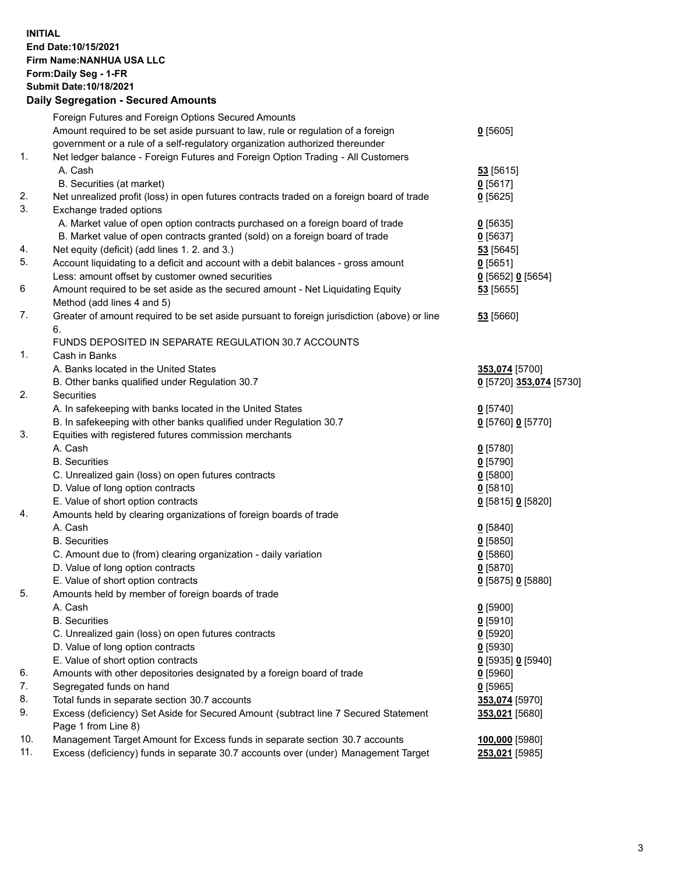## **INITIAL End Date:10/15/2021 Firm Name:NANHUA USA LLC Form:Daily Seg - 1-FR Submit Date:10/18/2021**

# **Daily Segregation - Secured Amounts**

|     | Foreign Futures and Foreign Options Secured Amounts                                                        |                         |
|-----|------------------------------------------------------------------------------------------------------------|-------------------------|
|     | Amount required to be set aside pursuant to law, rule or regulation of a foreign                           | $0$ [5605]              |
|     | government or a rule of a self-regulatory organization authorized thereunder                               |                         |
| 1.  | Net ledger balance - Foreign Futures and Foreign Option Trading - All Customers                            |                         |
|     | A. Cash                                                                                                    | 53 [5615]               |
|     | B. Securities (at market)                                                                                  | $0$ [5617]              |
| 2.  | Net unrealized profit (loss) in open futures contracts traded on a foreign board of trade                  | $0$ [5625]              |
| 3.  | Exchange traded options                                                                                    |                         |
|     | A. Market value of open option contracts purchased on a foreign board of trade                             | $0$ [5635]              |
|     | B. Market value of open contracts granted (sold) on a foreign board of trade                               | $0$ [5637]              |
| 4.  | Net equity (deficit) (add lines 1. 2. and 3.)                                                              | 53 [5645]               |
| 5.  | Account liquidating to a deficit and account with a debit balances - gross amount                          | $0$ [5651]              |
|     | Less: amount offset by customer owned securities                                                           | 0 [5652] 0 [5654]       |
| 6   | Amount required to be set aside as the secured amount - Net Liquidating Equity                             | 53 [5655]               |
|     | Method (add lines 4 and 5)                                                                                 |                         |
| 7.  | Greater of amount required to be set aside pursuant to foreign jurisdiction (above) or line                | 53 [5660]               |
|     | 6.                                                                                                         |                         |
|     | FUNDS DEPOSITED IN SEPARATE REGULATION 30.7 ACCOUNTS                                                       |                         |
| 1.  | Cash in Banks                                                                                              |                         |
|     | A. Banks located in the United States                                                                      | 353,074 [5700]          |
|     | B. Other banks qualified under Regulation 30.7                                                             | 0 [5720] 353,074 [5730] |
| 2.  | Securities                                                                                                 |                         |
|     | A. In safekeeping with banks located in the United States                                                  | $0$ [5740]              |
|     | B. In safekeeping with other banks qualified under Regulation 30.7                                         | 0 [5760] 0 [5770]       |
| 3.  | Equities with registered futures commission merchants                                                      |                         |
|     | A. Cash                                                                                                    | $0$ [5780]              |
|     | <b>B.</b> Securities                                                                                       | $0$ [5790]              |
|     | C. Unrealized gain (loss) on open futures contracts                                                        | $0$ [5800]              |
|     | D. Value of long option contracts                                                                          | $0$ [5810]              |
|     | E. Value of short option contracts                                                                         | 0 [5815] 0 [5820]       |
| 4.  | Amounts held by clearing organizations of foreign boards of trade                                          |                         |
|     | A. Cash                                                                                                    | $0$ [5840]              |
|     | <b>B.</b> Securities                                                                                       | $0$ [5850]              |
|     | C. Amount due to (from) clearing organization - daily variation                                            | 0[5860]                 |
|     | D. Value of long option contracts                                                                          | $0$ [5870]              |
|     | E. Value of short option contracts                                                                         | 0 [5875] 0 [5880]       |
| 5.  | Amounts held by member of foreign boards of trade                                                          |                         |
|     | A. Cash                                                                                                    | $0$ [5900]              |
|     | <b>B.</b> Securities                                                                                       | $0$ [5910]              |
|     | C. Unrealized gain (loss) on open futures contracts                                                        | $0$ [5920]              |
|     | D. Value of long option contracts                                                                          | $0$ [5930]              |
|     | E. Value of short option contracts                                                                         | 0 [5935] 0 [5940]       |
| 6.  | Amounts with other depositories designated by a foreign board of trade                                     | $0$ [5960]              |
| 7.  | Segregated funds on hand                                                                                   | $0$ [5965]              |
| 8.  | Total funds in separate section 30.7 accounts                                                              | 353,074 [5970]          |
| 9.  | Excess (deficiency) Set Aside for Secured Amount (subtract line 7 Secured Statement<br>Page 1 from Line 8) | 353,021 [5680]          |
| 10. | Management Target Amount for Excess funds in separate section 30.7 accounts                                | 100,000 [5980]          |
| 11. | Excess (deficiency) funds in separate 30.7 accounts over (under) Management Target                         | 253,021 [5985]          |
|     |                                                                                                            |                         |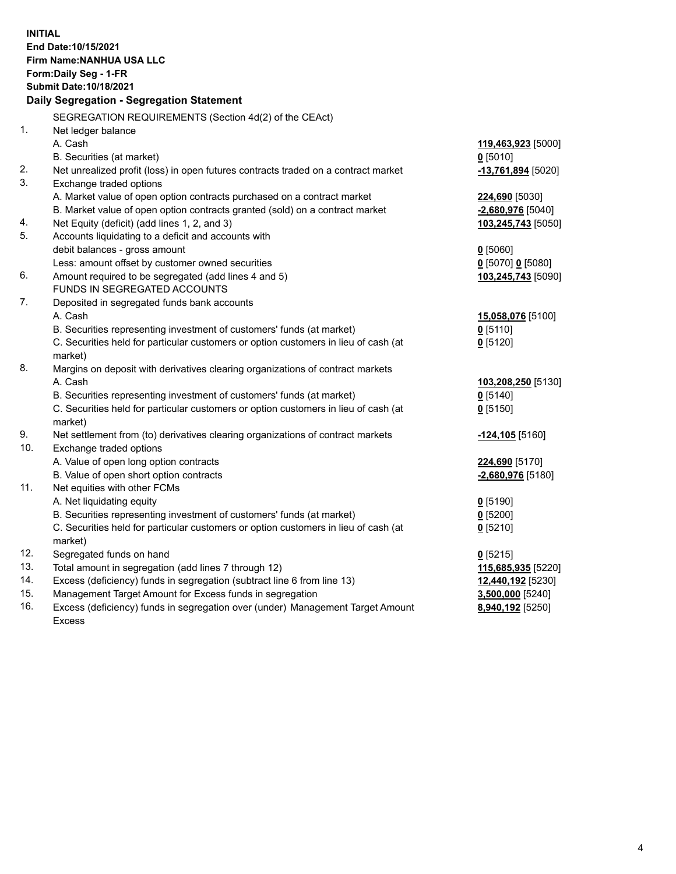**INITIAL End Date:10/15/2021 Firm Name:NANHUA USA LLC Form:Daily Seg - 1-FR Submit Date:10/18/2021 Daily Segregation - Segregation Statement** SEGREGATION REQUIREMENTS (Section 4d(2) of the CEAct) 1. Net ledger balance A. Cash **119,463,923** [5000] B. Securities (at market) **0** [5010] 2. Net unrealized profit (loss) in open futures contracts traded on a contract market **-13,761,894** [5020] 3. Exchange traded options A. Market value of open option contracts purchased on a contract market **224,690** [5030] B. Market value of open option contracts granted (sold) on a contract market **-2,680,976** [5040] 4. Net Equity (deficit) (add lines 1, 2, and 3) **103,245,743** [5050] 5. Accounts liquidating to a deficit and accounts with debit balances - gross amount **0** [5060] Less: amount offset by customer owned securities **0** [5070] **0** [5080] 6. Amount required to be segregated (add lines 4 and 5) **103,245,743** [5090] FUNDS IN SEGREGATED ACCOUNTS 7. Deposited in segregated funds bank accounts A. Cash **15,058,076** [5100] B. Securities representing investment of customers' funds (at market) **0** [5110] C. Securities held for particular customers or option customers in lieu of cash (at market) **0** [5120] 8. Margins on deposit with derivatives clearing organizations of contract markets A. Cash **103,208,250** [5130] B. Securities representing investment of customers' funds (at market) **0** [5140] C. Securities held for particular customers or option customers in lieu of cash (at market) **0** [5150] 9. Net settlement from (to) derivatives clearing organizations of contract markets **-124,105** [5160] 10. Exchange traded options A. Value of open long option contracts **224,690** [5170] B. Value of open short option contracts **-2,680,976** [5180] 11. Net equities with other FCMs A. Net liquidating equity **0** [5190] B. Securities representing investment of customers' funds (at market) **0** [5200] C. Securities held for particular customers or option customers in lieu of cash (at market) **0** [5210] 12. Segregated funds on hand **0** [5215] 13. Total amount in segregation (add lines 7 through 12) **115,685,935** [5220] 14. Excess (deficiency) funds in segregation (subtract line 6 from line 13) **12,440,192** [5230] 15. Management Target Amount for Excess funds in segregation **3,500,000** [5240] 16. Excess (deficiency) funds in segregation over (under) Management Target Amount Excess **8,940,192** [5250]